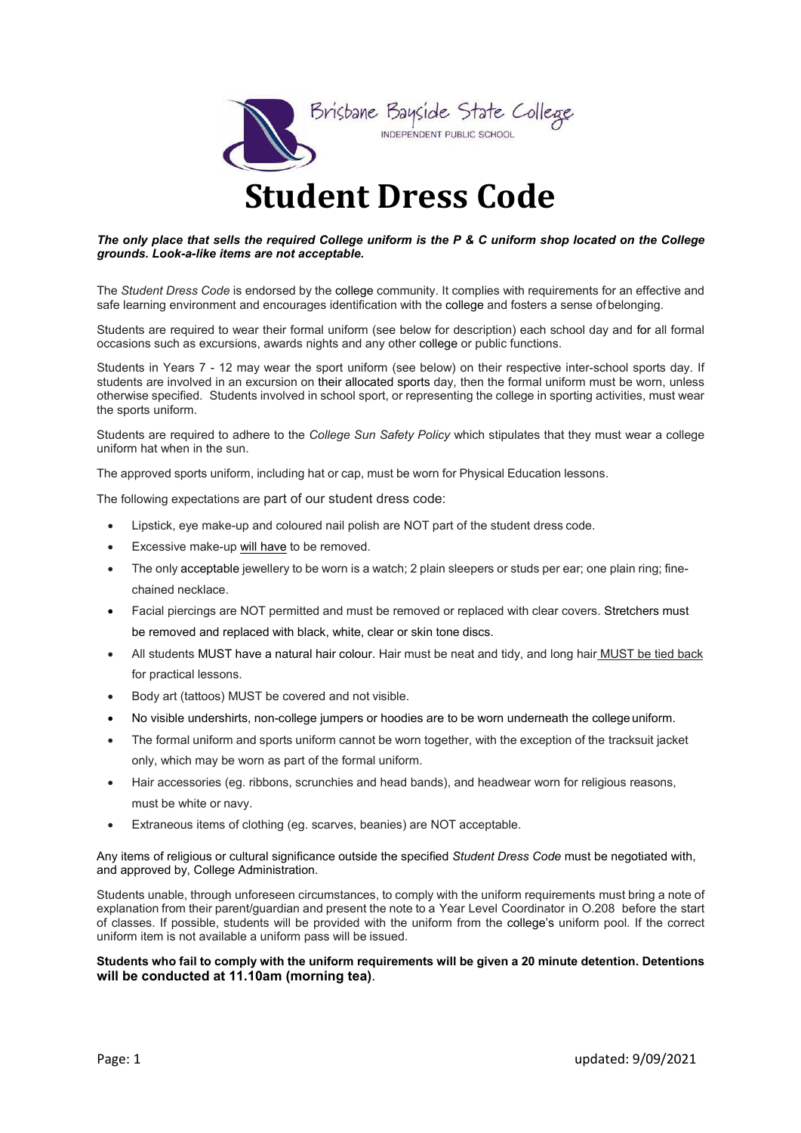

## **Student Dress Code**

#### *The only place that sells the required College uniform is the P & C uniform shop located on the College grounds. Look-a-like items are not acceptable.*

The *Student Dress Code* is endorsed by the college community. It complies with requirements for an effective and safe learning environment and encourages identification with the college and fosters a sense ofbelonging.

Students are required to wear their formal uniform (see below for description) each school day and for all formal occasions such as excursions, awards nights and any other college or public functions.

Students in Years 7 - 12 may wear the sport uniform (see below) on their respective inter-school sports day. If students are involved in an excursion on their allocated sports day, then the formal uniform must be worn, unless otherwise specified. Students involved in school sport, or representing the college in sporting activities, must wear the sports uniform.

Students are required to adhere to the *College Sun Safety Policy* which stipulates that they must wear a college uniform hat when in the sun.

The approved sports uniform, including hat or cap, must be worn for Physical Education lessons.

The following expectations are part of our student dress code:

- Lipstick, eye make-up and coloured nail polish are NOT part of the student dress code.
- Excessive make-up will have to be removed.
- The only acceptable jewellery to be worn is a watch; 2 plain sleepers or studs per ear; one plain ring; finechained necklace.
- Facial piercings are NOT permitted and must be removed or replaced with clear covers. Stretchers must be removed and replaced with black, white, clear or skin tone discs.
- All students MUST have a natural hair colour. Hair must be neat and tidy, and long hair MUST be tied back for practical lessons.
- Body art (tattoos) MUST be covered and not visible.
- No visible undershirts, non-college jumpers or hoodies are to be worn underneath the college uniform.
- The formal uniform and sports uniform cannot be worn together, with the exception of the tracksuit jacket only, which may be worn as part of the formal uniform.
- Hair accessories (eg. ribbons, scrunchies and head bands), and headwear worn for religious reasons, must be white or navy.
- Extraneous items of clothing (eg. scarves, beanies) are NOT acceptable.

#### Any items of religious or cultural significance outside the specified *Student Dress Code* must be negotiated with, and approved by, College Administration.

Students unable, through unforeseen circumstances, to comply with the uniform requirements must bring a note of explanation from their parent/guardian and present the note to a Year Level Coordinator in O.208 before the start of classes. If possible, students will be provided with the uniform from the college's uniform pool. If the correct uniform item is not available a uniform pass will be issued.

#### **Students who fail to comply with the uniform requirements will be given a 20 minute detention. Detentions will be conducted at 11.10am (morning tea)**.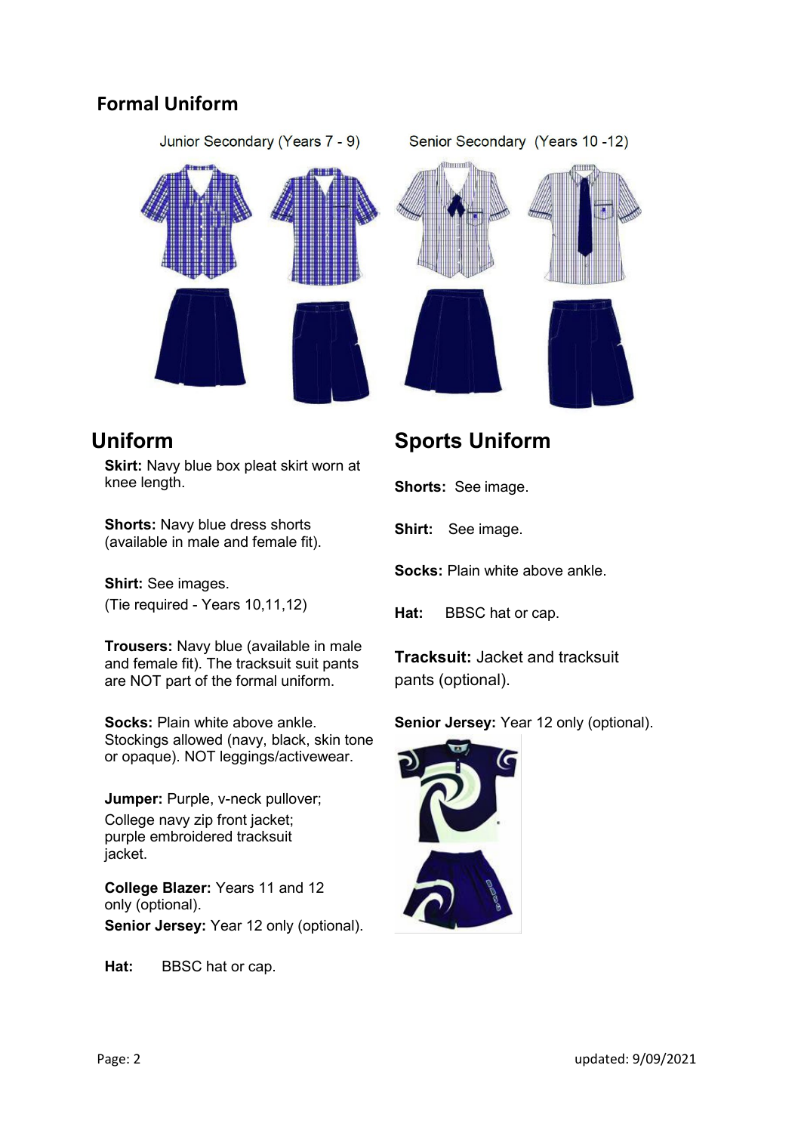#### **Formal Uniform**



### **Uniform**

**Skirt:** Navy blue box pleat skirt worn at knee length.

**Shorts:** Navy blue dress shorts (available in male and female fit).

**Shirt:** See images. (Tie required - Years 10,11,12)

**Trousers:** Navy blue (available in male and female fit). The tracksuit suit pants are NOT part of the formal uniform.

**Socks:** Plain white above ankle. Stockings allowed (navy, black, skin tone or opaque). NOT leggings/activewear.

**Jumper: Purple, v-neck pullover;** College navy zip front jacket; purple embroidered tracksuit jacket.

**College Blazer:** Years 11 and 12 only (optional). **Senior Jersey: Year 12 only (optional).** 

**Hat:** BBSC hat or cap.

## **Sports Uniform**

**Shorts:** See image.

**Shirt:** See image.

**Socks:** Plain white above ankle.

**Hat:** BBSC hat or cap.

**Tracksuit:** Jacket and tracksuit pants (optional).

#### **Senior Jersey:** Year 12 only (optional).

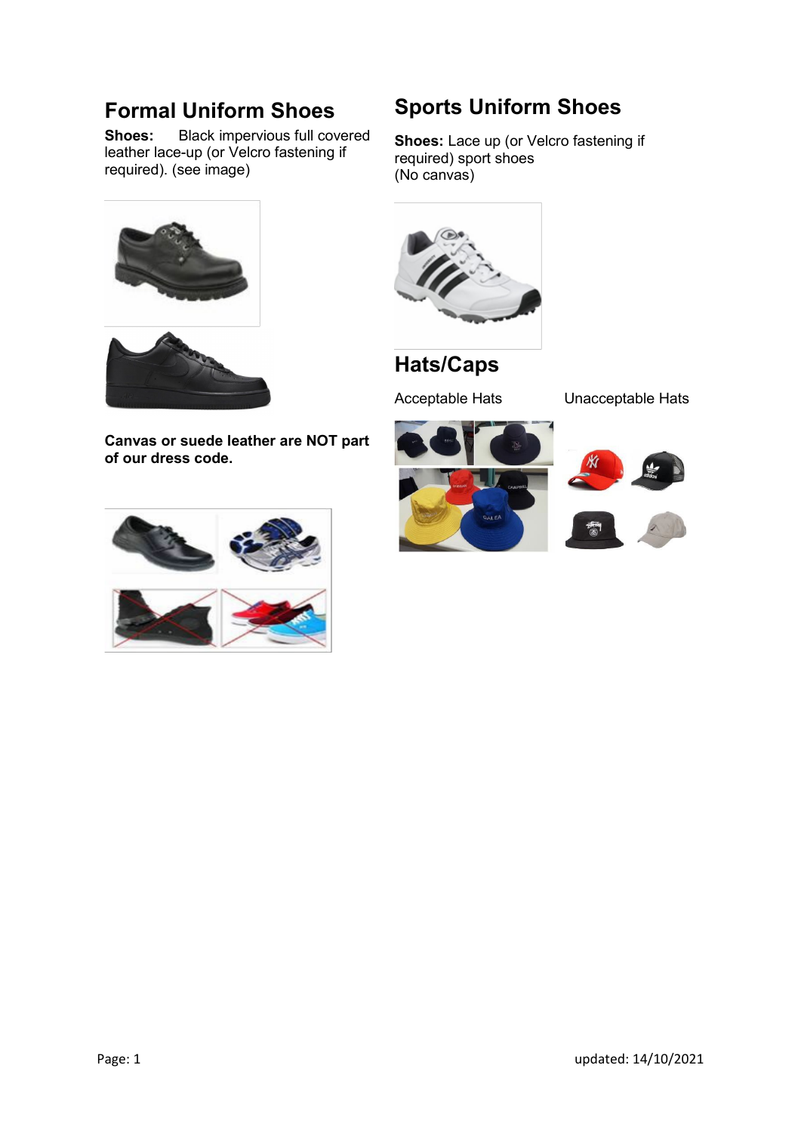## **Formal Uniform Shoes**<br>Shoes: Black impervious full cov

**Shoes:** Black impervious full covered leather lace-up (or Velcro fastening if required). (see image)





**Canvas or suede leather are NOT part of our dress code.**



## **Sports Uniform Shoes**

**Shoes:** Lace up (or Velcro fastening if required) sport shoes (No canvas)



## **Hats/Caps**

Acceptable Hats Unacceptable Hats